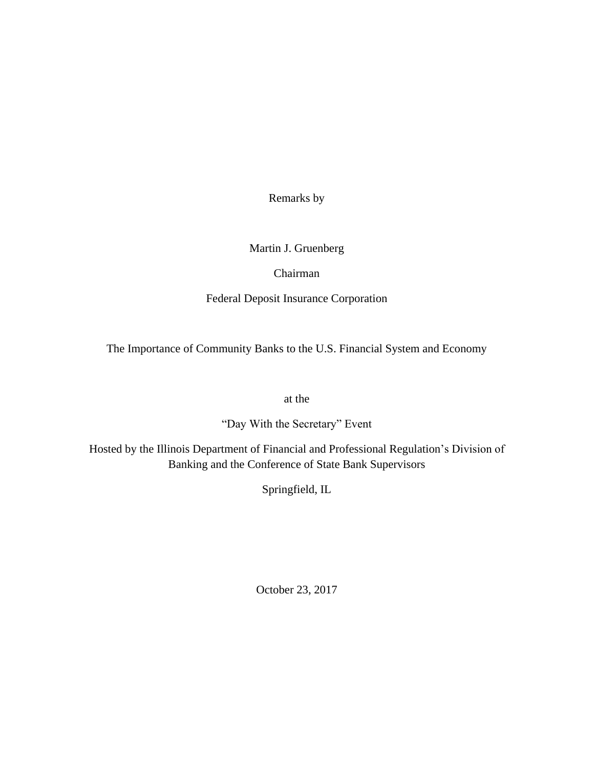Remarks by

Martin J. Gruenberg

Chairman

Federal Deposit Insurance Corporation

The Importance of Community Banks to the U.S. Financial System and Economy

at the

"Day With the Secretary" Event

Hosted by the Illinois Department of Financial and Professional Regulation's Division of Banking and the Conference of State Bank Supervisors

Springfield, IL

October 23, 2017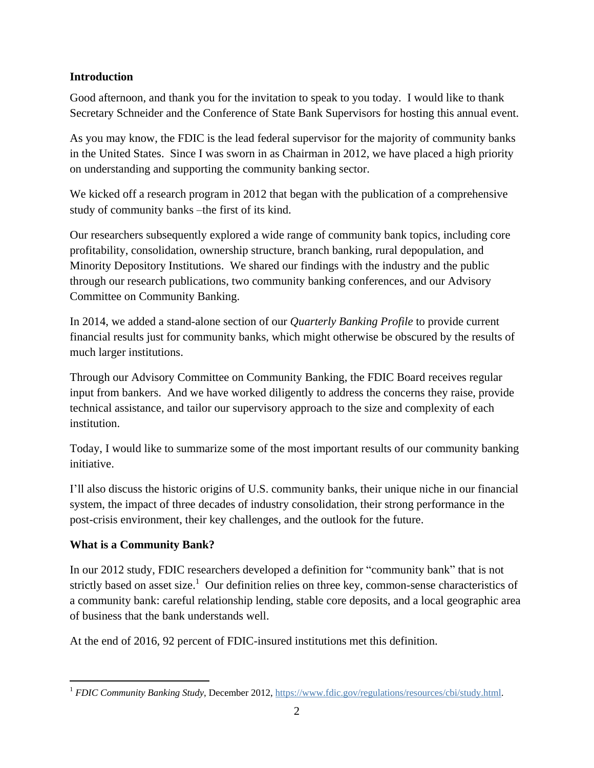#### **Introduction**

Good afternoon, and thank you for the invitation to speak to you today. I would like to thank Secretary Schneider and the Conference of State Bank Supervisors for hosting this annual event.

As you may know, the FDIC is the lead federal supervisor for the majority of community banks in the United States. Since I was sworn in as Chairman in 2012, we have placed a high priority on understanding and supporting the community banking sector.

We kicked off a research program in 2012 that began with the publication of a comprehensive study of community banks –the first of its kind.

Our researchers subsequently explored a wide range of community bank topics, including core profitability, consolidation, ownership structure, branch banking, rural depopulation, and Minority Depository Institutions. We shared our findings with the industry and the public through our research publications, two community banking conferences, and our Advisory Committee on Community Banking.

In 2014, we added a stand-alone section of our *Quarterly Banking Profile* to provide current financial results just for community banks, which might otherwise be obscured by the results of much larger institutions.

Through our Advisory Committee on Community Banking, the FDIC Board receives regular input from bankers. And we have worked diligently to address the concerns they raise, provide technical assistance, and tailor our supervisory approach to the size and complexity of each institution.

Today, I would like to summarize some of the most important results of our community banking initiative.

I'll also discuss the historic origins of U.S. community banks, their unique niche in our financial system, the impact of three decades of industry consolidation, their strong performance in the post-crisis environment, their key challenges, and the outlook for the future.

### **What is a Community Bank?**

In our 2012 study, FDIC researchers developed a definition for "community bank" that is not strictly based on asset size.<sup>1</sup> Our definition relies on three key, common-sense characteristics of a community bank: careful relationship lending, stable core deposits, and a local geographic area of business that the bank understands well.

At the end of 2016, 92 percent of FDIC-insured institutions met this definition.

l <sup>1</sup> *FDIC Community Banking Study*, December 2012, [https://www.fdic.gov/regulations/resources/cbi/study.html.](https://www.fdic.gov/regulations/resources/cbi/study.html)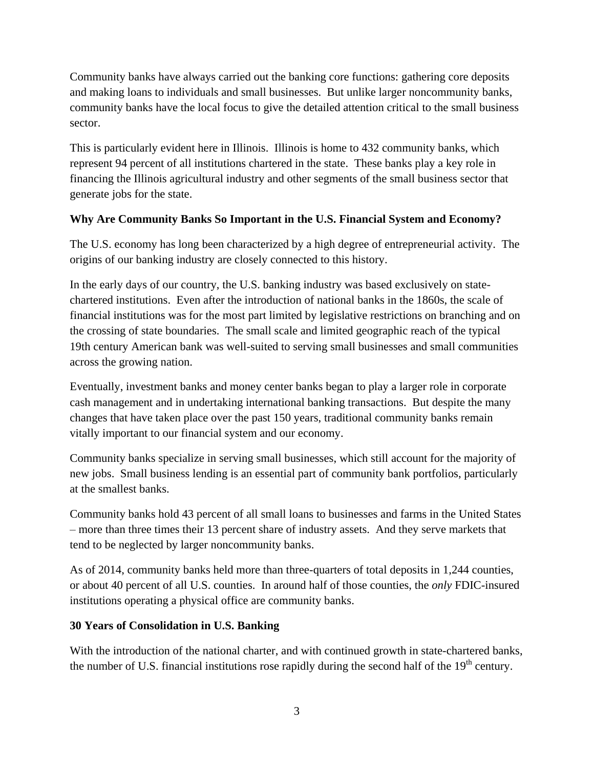Community banks have always carried out the banking core functions: gathering core deposits and making loans to individuals and small businesses. But unlike larger noncommunity banks, community banks have the local focus to give the detailed attention critical to the small business sector.

This is particularly evident here in Illinois. Illinois is home to 432 community banks, which represent 94 percent of all institutions chartered in the state. These banks play a key role in financing the Illinois agricultural industry and other segments of the small business sector that generate jobs for the state.

### **Why Are Community Banks So Important in the U.S. Financial System and Economy?**

The U.S. economy has long been characterized by a high degree of entrepreneurial activity. The origins of our banking industry are closely connected to this history.

In the early days of our country, the U.S. banking industry was based exclusively on statechartered institutions. Even after the introduction of national banks in the 1860s, the scale of financial institutions was for the most part limited by legislative restrictions on branching and on the crossing of state boundaries. The small scale and limited geographic reach of the typical 19th century American bank was well-suited to serving small businesses and small communities across the growing nation.

Eventually, investment banks and money center banks began to play a larger role in corporate cash management and in undertaking international banking transactions. But despite the many changes that have taken place over the past 150 years, traditional community banks remain vitally important to our financial system and our economy.

Community banks specialize in serving small businesses, which still account for the majority of new jobs. Small business lending is an essential part of community bank portfolios, particularly at the smallest banks.

Community banks hold 43 percent of all small loans to businesses and farms in the United States – more than three times their 13 percent share of industry assets. And they serve markets that tend to be neglected by larger noncommunity banks.

As of 2014, community banks held more than three-quarters of total deposits in 1,244 counties, or about 40 percent of all U.S. counties. In around half of those counties, the *only* FDIC-insured institutions operating a physical office are community banks.

#### **30 Years of Consolidation in U.S. Banking**

With the introduction of the national charter, and with continued growth in state-chartered banks, the number of U.S. financial institutions rose rapidly during the second half of the  $19<sup>th</sup>$  century.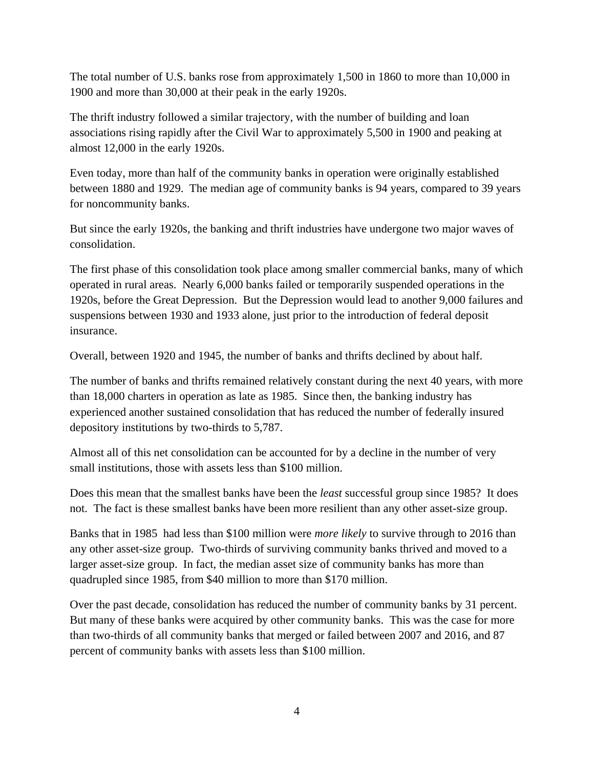The total number of U.S. banks rose from approximately 1,500 in 1860 to more than 10,000 in 1900 and more than 30,000 at their peak in the early 1920s.

The thrift industry followed a similar trajectory, with the number of building and loan associations rising rapidly after the Civil War to approximately 5,500 in 1900 and peaking at almost 12,000 in the early 1920s.

Even today, more than half of the community banks in operation were originally established between 1880 and 1929. The median age of community banks is 94 years, compared to 39 years for noncommunity banks.

But since the early 1920s, the banking and thrift industries have undergone two major waves of consolidation.

The first phase of this consolidation took place among smaller commercial banks, many of which operated in rural areas. Nearly 6,000 banks failed or temporarily suspended operations in the 1920s, before the Great Depression. But the Depression would lead to another 9,000 failures and suspensions between 1930 and 1933 alone, just prior to the introduction of federal deposit insurance.

Overall, between 1920 and 1945, the number of banks and thrifts declined by about half.

The number of banks and thrifts remained relatively constant during the next 40 years, with more than 18,000 charters in operation as late as 1985. Since then, the banking industry has experienced another sustained consolidation that has reduced the number of federally insured depository institutions by two-thirds to 5,787.

Almost all of this net consolidation can be accounted for by a decline in the number of very small institutions, those with assets less than \$100 million.

Does this mean that the smallest banks have been the *least* successful group since 1985? It does not. The fact is these smallest banks have been more resilient than any other asset-size group.

Banks that in 1985 had less than \$100 million were *more likely* to survive through to 2016 than any other asset-size group. Two-thirds of surviving community banks thrived and moved to a larger asset-size group. In fact, the median asset size of community banks has more than quadrupled since 1985, from \$40 million to more than \$170 million.

Over the past decade, consolidation has reduced the number of community banks by 31 percent. But many of these banks were acquired by other community banks. This was the case for more than two-thirds of all community banks that merged or failed between 2007 and 2016, and 87 percent of community banks with assets less than \$100 million.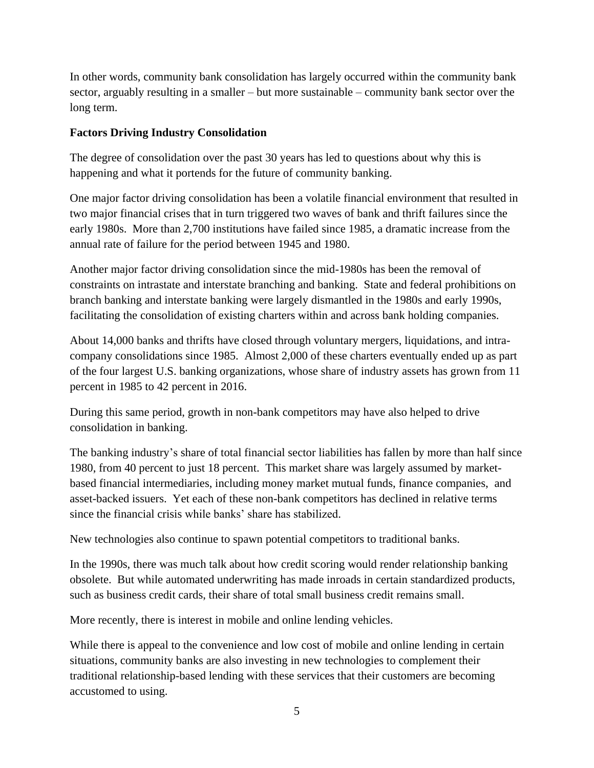In other words, community bank consolidation has largely occurred within the community bank sector, arguably resulting in a smaller – but more sustainable – community bank sector over the long term.

#### **Factors Driving Industry Consolidation**

The degree of consolidation over the past 30 years has led to questions about why this is happening and what it portends for the future of community banking.

One major factor driving consolidation has been a volatile financial environment that resulted in two major financial crises that in turn triggered two waves of bank and thrift failures since the early 1980s. More than 2,700 institutions have failed since 1985, a dramatic increase from the annual rate of failure for the period between 1945 and 1980.

Another major factor driving consolidation since the mid-1980s has been the removal of constraints on intrastate and interstate branching and banking. State and federal prohibitions on branch banking and interstate banking were largely dismantled in the 1980s and early 1990s, facilitating the consolidation of existing charters within and across bank holding companies.

About 14,000 banks and thrifts have closed through voluntary mergers, liquidations, and intracompany consolidations since 1985. Almost 2,000 of these charters eventually ended up as part of the four largest U.S. banking organizations, whose share of industry assets has grown from 11 percent in 1985 to 42 percent in 2016.

During this same period, growth in non-bank competitors may have also helped to drive consolidation in banking.

The banking industry's share of total financial sector liabilities has fallen by more than half since 1980, from 40 percent to just 18 percent. This market share was largely assumed by marketbased financial intermediaries, including money market mutual funds, finance companies, and asset-backed issuers. Yet each of these non-bank competitors has declined in relative terms since the financial crisis while banks' share has stabilized.

New technologies also continue to spawn potential competitors to traditional banks.

In the 1990s, there was much talk about how credit scoring would render relationship banking obsolete. But while automated underwriting has made inroads in certain standardized products, such as business credit cards, their share of total small business credit remains small.

More recently, there is interest in mobile and online lending vehicles.

While there is appeal to the convenience and low cost of mobile and online lending in certain situations, community banks are also investing in new technologies to complement their traditional relationship-based lending with these services that their customers are becoming accustomed to using.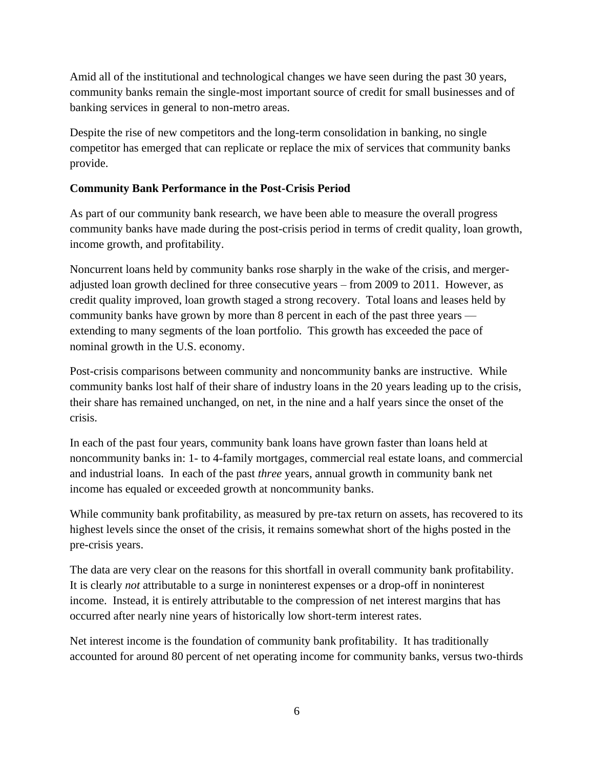Amid all of the institutional and technological changes we have seen during the past 30 years, community banks remain the single-most important source of credit for small businesses and of banking services in general to non-metro areas.

Despite the rise of new competitors and the long-term consolidation in banking, no single competitor has emerged that can replicate or replace the mix of services that community banks provide.

#### **Community Bank Performance in the Post-Crisis Period**

As part of our community bank research, we have been able to measure the overall progress community banks have made during the post-crisis period in terms of credit quality, loan growth, income growth, and profitability.

Noncurrent loans held by community banks rose sharply in the wake of the crisis, and mergeradjusted loan growth declined for three consecutive years – from 2009 to 2011. However, as credit quality improved, loan growth staged a strong recovery. Total loans and leases held by community banks have grown by more than 8 percent in each of the past three years extending to many segments of the loan portfolio. This growth has exceeded the pace of nominal growth in the U.S. economy.

Post-crisis comparisons between community and noncommunity banks are instructive. While community banks lost half of their share of industry loans in the 20 years leading up to the crisis, their share has remained unchanged, on net, in the nine and a half years since the onset of the crisis.

In each of the past four years, community bank loans have grown faster than loans held at noncommunity banks in: 1- to 4-family mortgages, commercial real estate loans, and commercial and industrial loans. In each of the past *three* years, annual growth in community bank net income has equaled or exceeded growth at noncommunity banks.

While community bank profitability, as measured by pre-tax return on assets, has recovered to its highest levels since the onset of the crisis, it remains somewhat short of the highs posted in the pre-crisis years.

The data are very clear on the reasons for this shortfall in overall community bank profitability. It is clearly *not* attributable to a surge in noninterest expenses or a drop-off in noninterest income. Instead, it is entirely attributable to the compression of net interest margins that has occurred after nearly nine years of historically low short-term interest rates.

Net interest income is the foundation of community bank profitability. It has traditionally accounted for around 80 percent of net operating income for community banks, versus two-thirds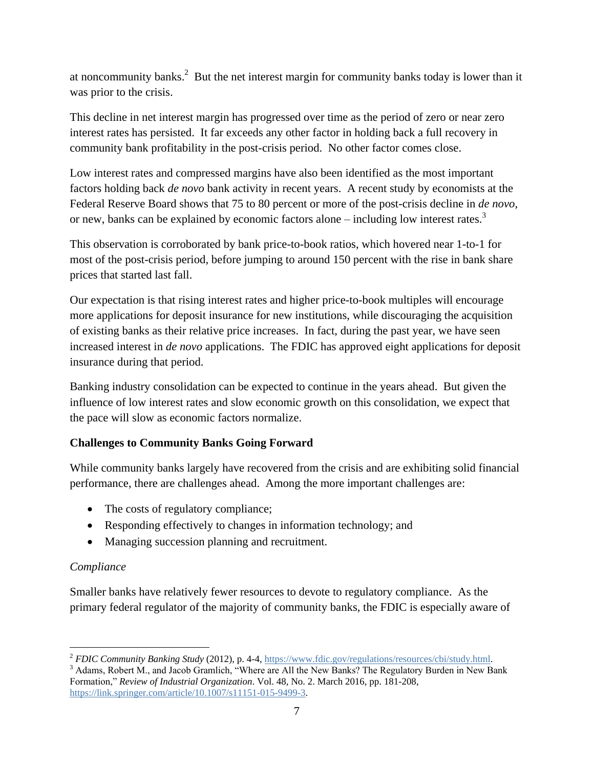at noncommunity banks.<sup>2</sup> But the net interest margin for community banks today is lower than it was prior to the crisis.

This decline in net interest margin has progressed over time as the period of zero or near zero interest rates has persisted. It far exceeds any other factor in holding back a full recovery in community bank profitability in the post-crisis period. No other factor comes close.

Low interest rates and compressed margins have also been identified as the most important factors holding back *de novo* bank activity in recent years. A recent study by economists at the Federal Reserve Board shows that 75 to 80 percent or more of the post-crisis decline in *de novo*, or new, banks can be explained by economic factors alone – including low interest rates.<sup>3</sup>

This observation is corroborated by bank price-to-book ratios, which hovered near 1-to-1 for most of the post-crisis period, before jumping to around 150 percent with the rise in bank share prices that started last fall.

Our expectation is that rising interest rates and higher price-to-book multiples will encourage more applications for deposit insurance for new institutions, while discouraging the acquisition of existing banks as their relative price increases. In fact, during the past year, we have seen increased interest in *de novo* applications. The FDIC has approved eight applications for deposit insurance during that period.

Banking industry consolidation can be expected to continue in the years ahead. But given the influence of low interest rates and slow economic growth on this consolidation, we expect that the pace will slow as economic factors normalize.

### **Challenges to Community Banks Going Forward**

While community banks largely have recovered from the crisis and are exhibiting solid financial performance, there are challenges ahead. Among the more important challenges are:

- The costs of regulatory compliance;
- Responding effectively to changes in information technology; and
- Managing succession planning and recruitment.

### *Compliance*

Smaller banks have relatively fewer resources to devote to regulatory compliance. As the primary federal regulator of the majority of community banks, the FDIC is especially aware of

l <sup>2</sup> *FDIC Community Banking Study* (2012), p. 4-4, [https://www.fdic.gov/regulations/resources/cbi/study.html.](https://www.fdic.gov/regulations/resources/cbi/study.html)

<sup>&</sup>lt;sup>3</sup> Adams, Robert M., and Jacob Gramlich, "Where are All the New Banks? The Regulatory Burden in New Bank Formation," *Review of Industrial Organization*. Vol. 48, No. 2. March 2016, pp. 181-208, [https://link.springer.com/article/10.1007/s11151-015-9499-3.](https://link.springer.com/article/10.1007/s11151-015-9499-3)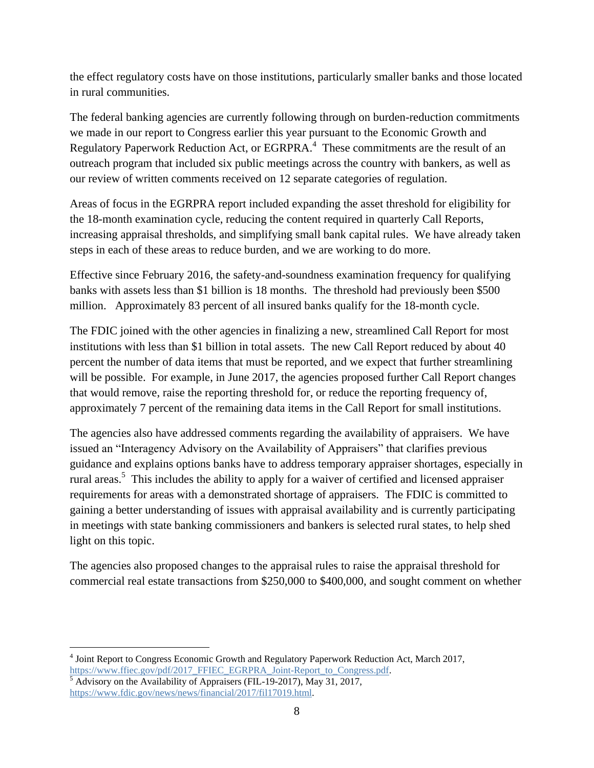the effect regulatory costs have on those institutions, particularly smaller banks and those located in rural communities.

The federal banking agencies are currently following through on burden-reduction commitments we made in our report to Congress earlier this year pursuant to the Economic Growth and Regulatory Paperwork Reduction Act, or EGRPRA. $4$  These commitments are the result of an outreach program that included six public meetings across the country with bankers, as well as our review of written comments received on 12 separate categories of regulation.

Areas of focus in the EGRPRA report included expanding the asset threshold for eligibility for the 18-month examination cycle, reducing the content required in quarterly Call Reports, increasing appraisal thresholds, and simplifying small bank capital rules. We have already taken steps in each of these areas to reduce burden, and we are working to do more.

Effective since February 2016, the safety-and-soundness examination frequency for qualifying banks with assets less than \$1 billion is 18 months. The threshold had previously been \$500 million. Approximately 83 percent of all insured banks qualify for the 18-month cycle.

The FDIC joined with the other agencies in finalizing a new, streamlined Call Report for most institutions with less than \$1 billion in total assets. The new Call Report reduced by about 40 percent the number of data items that must be reported, and we expect that further streamlining will be possible. For example, in June 2017, the agencies proposed further Call Report changes that would remove, raise the reporting threshold for, or reduce the reporting frequency of, approximately 7 percent of the remaining data items in the Call Report for small institutions.

The agencies also have addressed comments regarding the availability of appraisers. We have issued an "Interagency Advisory on the Availability of Appraisers" that clarifies previous guidance and explains options banks have to address temporary appraiser shortages, especially in rural areas.<sup>5</sup> This includes the ability to apply for a waiver of certified and licensed appraiser requirements for areas with a demonstrated shortage of appraisers. The FDIC is committed to gaining a better understanding of issues with appraisal availability and is currently participating in meetings with state banking commissioners and bankers is selected rural states, to help shed light on this topic.

The agencies also proposed changes to the appraisal rules to raise the appraisal threshold for commercial real estate transactions from \$250,000 to \$400,000, and sought comment on whether

 4 Joint Report to Congress Economic Growth and Regulatory Paperwork Reduction Act, March 2017, [https://www.ffiec.gov/pdf/2017\\_FFIEC\\_EGRPRA\\_Joint-Report\\_to\\_Congress.pdf.](https://www.ffiec.gov/pdf/2017_FFIEC_EGRPRA_Joint-Report_to_Congress.pdf)

 $<sup>5</sup>$  Advisory on the Availability of Appraisers (FIL-19-2017), May 31, 2017,</sup> [https://www.fdic.gov/news/news/financial/2017/fil17019.html.](https://www.fdic.gov/news/news/financial/2017/fil17019.html)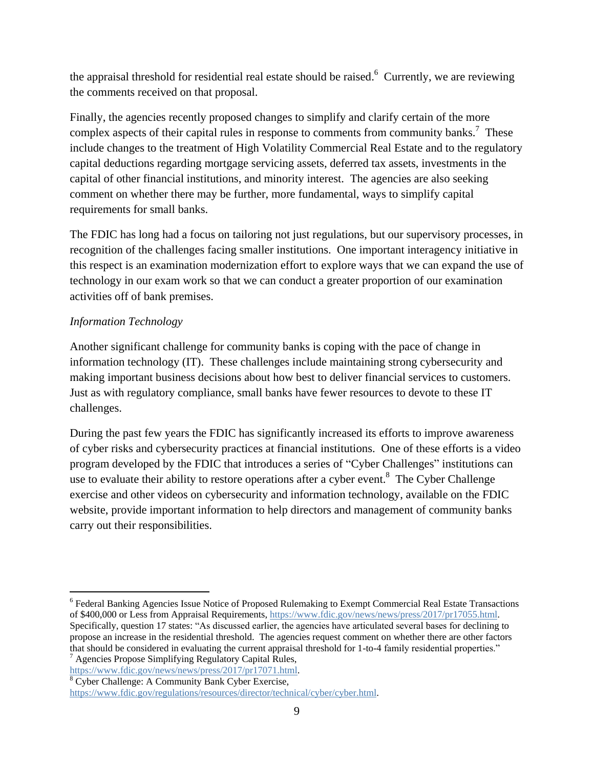the appraisal threshold for residential real estate should be raised.<sup>6</sup> Currently, we are reviewing the comments received on that proposal.

Finally, the agencies recently proposed changes to simplify and clarify certain of the more complex aspects of their capital rules in response to comments from community banks.<sup>7</sup> These include changes to the treatment of High Volatility Commercial Real Estate and to the regulatory capital deductions regarding mortgage servicing assets, deferred tax assets, investments in the capital of other financial institutions, and minority interest. The agencies are also seeking comment on whether there may be further, more fundamental, ways to simplify capital requirements for small banks.

The FDIC has long had a focus on tailoring not just regulations, but our supervisory processes, in recognition of the challenges facing smaller institutions. One important interagency initiative in this respect is an examination modernization effort to explore ways that we can expand the use of technology in our exam work so that we can conduct a greater proportion of our examination activities off of bank premises.

### *Information Technology*

Another significant challenge for community banks is coping with the pace of change in information technology (IT). These challenges include maintaining strong cybersecurity and making important business decisions about how best to deliver financial services to customers. Just as with regulatory compliance, small banks have fewer resources to devote to these IT challenges.

During the past few years the FDIC has significantly increased its efforts to improve awareness of cyber risks and cybersecurity practices at financial institutions. One of these efforts is a video program developed by the FDIC that introduces a series of "Cyber Challenges" institutions can use to evaluate their ability to restore operations after a cyber event.<sup>8</sup> The Cyber Challenge exercise and other videos on cybersecurity and information technology, available on the FDIC website, provide important information to help directors and management of community banks carry out their responsibilities.

 $\overline{a}$ <sup>6</sup> Federal Banking Agencies Issue Notice of Proposed Rulemaking to Exempt Commercial Real Estate Transactions of \$400,000 or Less from Appraisal Requirements, [https://www.fdic.gov/news/news/press/2017/pr17055.html.](https://www.fdic.gov/news/news/press/2017/pr17055.html) Specifically, question 17 states: "As discussed earlier, the agencies have articulated several bases for declining to propose an increase in the residential threshold. The agencies request comment on whether there are other factors that should be considered in evaluating the current appraisal threshold for 1-to-4 family residential properties."  $7$  Agencies Propose Simplifying Regulatory Capital Rules,

[https://www.fdic.gov/news/news/press/2017/pr17071.html.](https://www.fdic.gov/news/news/press/2017/pr17071.html)

<sup>8</sup> Cyber Challenge: A Community Bank Cyber Exercise,

[https://www.fdic.gov/regulations/resources/director/technical/cyber/cyber.html.](https://www.fdic.gov/regulations/resources/director/technical/cyber/cyber.html)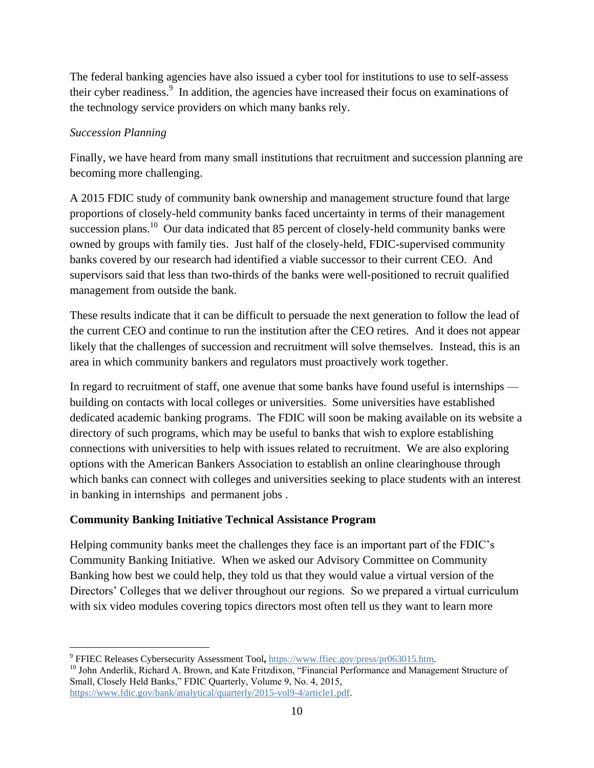The federal banking agencies have also issued a cyber tool for institutions to use to self-assess their cyber readiness.<sup>9</sup> In addition, the agencies have increased their focus on examinations of the technology service providers on which many banks rely.

### *Succession Planning*

Finally, we have heard from many small institutions that recruitment and succession planning are becoming more challenging.

A 2015 FDIC study of community bank ownership and management structure found that large proportions of closely-held community banks faced uncertainty in terms of their management succession plans.<sup>10</sup> Our data indicated that 85 percent of closely-held community banks were owned by groups with family ties. Just half of the closely-held, FDIC-supervised community banks covered by our research had identified a viable successor to their current CEO. And supervisors said that less than two-thirds of the banks were well-positioned to recruit qualified management from outside the bank.

These results indicate that it can be difficult to persuade the next generation to follow the lead of the current CEO and continue to run the institution after the CEO retires. And it does not appear likely that the challenges of succession and recruitment will solve themselves. Instead, this is an area in which community bankers and regulators must proactively work together.

In regard to recruitment of staff, one avenue that some banks have found useful is internships building on contacts with local colleges or universities. Some universities have established dedicated academic banking programs. The FDIC will soon be making available on its website a directory of such programs, which may be useful to banks that wish to explore establishing connections with universities to help with issues related to recruitment. We are also exploring options with the American Bankers Association to establish an online clearinghouse through which banks can connect with colleges and universities seeking to place students with an interest in banking in internships and permanent jobs .

### **Community Banking Initiative Technical Assistance Program**

Helping community banks meet the challenges they face is an important part of the FDIC's Community Banking Initiative. When we asked our Advisory Committee on Community Banking how best we could help, they told us that they would value a virtual version of the Directors' Colleges that we deliver throughout our regions. So we prepared a virtual curriculum with six video modules covering topics directors most often tell us they want to learn more

<sup>10</sup> John Anderlik, Richard A. Brown, and Kate Fritzdixon, "Financial Performance and Management Structure of Small, Closely Held Banks," FDIC Quarterly, Volume 9, No. 4, 2015, [https://www.fdic.gov/bank/analytical/quarterly/2015-vol9-4/article1.pdf.](https://www.fdic.gov/bank/analytical/quarterly/2015-vol9-4/article1.pdf)

 9 FFIEC Releases Cybersecurity Assessment Tool**,** [https://www.ffiec.gov/press/pr063015.htm.](https://www.ffiec.gov/press/pr063015.htm)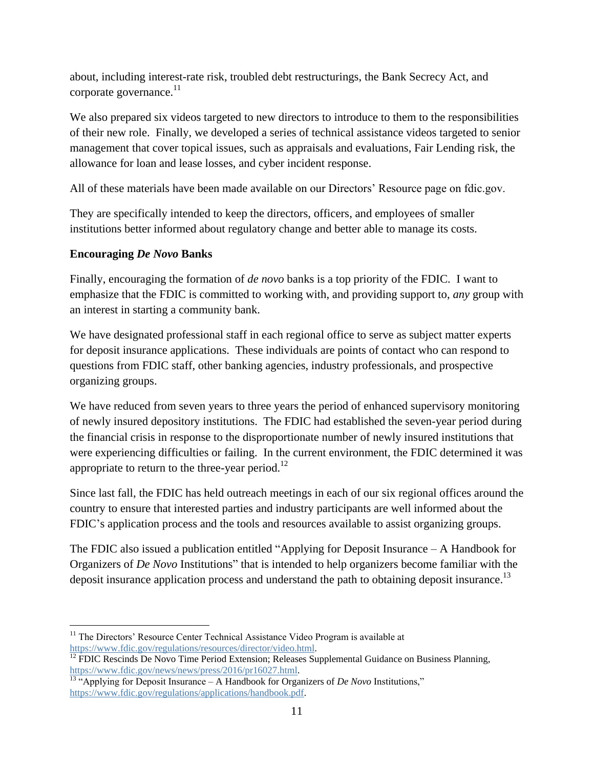about, including interest-rate risk, troubled debt restructurings, the Bank Secrecy Act, and corporate governance. $^{11}$ 

We also prepared six videos targeted to new directors to introduce to them to the responsibilities of their new role. Finally, we developed a series of technical assistance videos targeted to senior management that cover topical issues, such as appraisals and evaluations, Fair Lending risk, the allowance for loan and lease losses, and cyber incident response.

All of these materials have been made available on our Directors' Resource page on fdic.gov.

They are specifically intended to keep the directors, officers, and employees of smaller institutions better informed about regulatory change and better able to manage its costs.

## **Encouraging** *De Novo* **Banks**

Finally, encouraging the formation of *de novo* banks is a top priority of the FDIC. I want to emphasize that the FDIC is committed to working with, and providing support to, *any* group with an interest in starting a community bank.

We have designated professional staff in each regional office to serve as subject matter experts for deposit insurance applications. These individuals are points of contact who can respond to questions from FDIC staff, other banking agencies, industry professionals, and prospective organizing groups.

We have reduced from seven years to three years the period of enhanced supervisory monitoring of newly insured depository institutions. The FDIC had established the seven-year period during the financial crisis in response to the disproportionate number of newly insured institutions that were experiencing difficulties or failing. In the current environment, the FDIC determined it was appropriate to return to the three-year period.<sup>12</sup>

Since last fall, the FDIC has held outreach meetings in each of our six regional offices around the country to ensure that interested parties and industry participants are well informed about the FDIC's application process and the tools and resources available to assist organizing groups.

The FDIC also issued a publication entitled "Applying for Deposit Insurance – A Handbook for Organizers of *De Novo* Institutions" that is intended to help organizers become familiar with the deposit insurance application process and understand the path to obtaining deposit insurance.<sup>13</sup>

 $\overline{a}$ <sup>11</sup> The Directors' Resource Center Technical Assistance Video Program is available at [https://www.fdic.gov/regulations/resources/director/video.html.](https://www.fdic.gov/regulations/resources/director/video.html) 

<sup>112</sup> FDIC Rescinds De Novo Time Period Extension; Releases Supplemental Guidance on Business Planning, [https://www.fdic.gov/news/news/press/2016/pr16027.html.](https://www.fdic.gov/news/news/press/2016/pr16027.html)

<sup>&</sup>lt;sup>13 "</sup>Applying for Deposit Insurance – A Handbook for Organizers of *De Novo* Institutions," [https://www.fdic.gov/regulations/applications/handbook.pdf.](https://www.fdic.gov/regulations/applications/handbook.pdf)